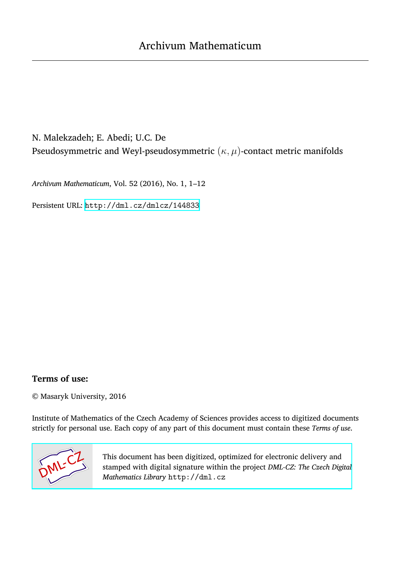# N. Malekzadeh; E. Abedi; U.C. De Pseudosymmetric and Weyl-pseudosymmetric (*κ, µ*)-contact metric manifolds

*Archivum Mathematicum*, Vol. 52 (2016), No. 1, 1–12

Persistent URL: <http://dml.cz/dmlcz/144833>

## **Terms of use:**

© Masaryk University, 2016

Institute of Mathematics of the Czech Academy of Sciences provides access to digitized documents strictly for personal use. Each copy of any part of this document must contain these *Terms of use*.



[This document has been digitized, optimized for electronic delivery and](http://dml.cz) stamped with digital signature within the project *DML-CZ: The Czech Digital Mathematics Library* http://dml.cz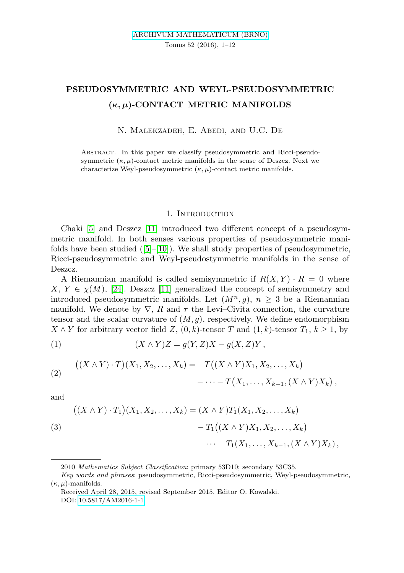# **PSEUDOSYMMETRIC AND WEYL-PSEUDOSYMMETRIC (***κ, µ***)-CONTACT METRIC MANIFOLDS**

N. Malekzadeh, E. Abedi, and U.C. De

Abstract. In this paper we classify pseudosymmetric and Ricci-pseudosymmetric  $(\kappa, \mu)$ -contact metric manifolds in the sense of Deszcz. Next we characterize Weyl-pseudosymmetric (*κ, µ*)-contact metric manifolds.

#### 1. INTRODUCTION

Chaki [\[5\]](#page-11-0) and Deszcz [\[11\]](#page-11-1) introduced two different concept of a pseudosymmetric manifold. In both senses various properties of pseudosymmetric manifolds have been studied  $([5]-[10])$  $([5]-[10])$  $([5]-[10])$  $([5]-[10])$  $([5]-[10])$ . We shall study properties of pseudosymmetric, Ricci-pseudosymmetric and Weyl-pseudostymmetric manifolds in the sense of Deszcz.

A Riemannian manifold is called semisymmetric if  $R(X, Y) \cdot R = 0$  where  $X, Y \in \chi(M)$ , [\[24\]](#page-12-0). Deszcz [\[11\]](#page-11-1) generalized the concept of semisymmetry and introduced pseudosymmetric manifolds. Let  $(M^n, q)$ ,  $n > 3$  be a Riemannian manifold. We denote by  $\nabla$ , *R* and  $\tau$  the Levi–Civita connection, the curvature tensor and the scalar curvature of  $(M, g)$ , respectively. We define endomorphism *X* ∧ *Y* for arbitrary vector field *Z*,  $(0, k)$ -tensor *T* and  $(1, k)$ -tensor *T*<sub>1</sub>,  $k ≥ 1$ , by

<span id="page-1-1"></span>
$$
(1) \qquad (X \wedge Y)Z = g(Y, Z)X - g(X, Z)Y,
$$

(2) 
$$
((X \wedge Y) \cdot T)(X_1, X_2, \dots, X_k) = -T((X \wedge Y)X_1, X_2, \dots, X_k) - \dots - T(X_1, \dots, X_{k-1}, (X \wedge Y)X_k),
$$

and

<span id="page-1-0"></span>(3)  
\n
$$
((X \wedge Y) \cdot T_1)(X_1, X_2, \dots, X_k) = (X \wedge Y)T_1(X_1, X_2, \dots, X_k) - T_1((X \wedge Y)X_1, X_2, \dots, X_k) - \dots - T_1(X_1, \dots, X_{k-1}, (X \wedge Y)X_k),
$$

<sup>2010</sup> *Mathematics Subject Classification*: primary 53D10; secondary 53C35.

*Key words and phrases*: pseudosymmetric, Ricci-pseudosymmetric, Weyl-pseudosymmetric,  $(\kappa, \mu)$ -manifolds.

Received April 28, 2015, revised September 2015. Editor O. Kowalski. DOI: [10.5817/AM2016-1-1](http://dx.doi.org/10.5817/AM2016-1-1)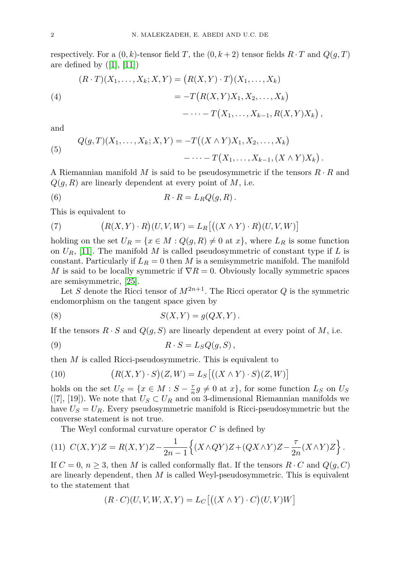respectively. For a  $(0, k)$ -tensor field *T*, the  $(0, k+2)$  tensor fields  $R \cdot T$  and  $Q(g, T)$ are defined by  $([1], [11])$  $([1], [11])$  $([1], [11])$  $([1], [11])$  $([1], [11])$ 

<span id="page-2-0"></span>(4)  
\n
$$
(R \cdot T)(X_1, \dots, X_k; X, Y) = (R(X, Y) \cdot T)(X_1, \dots, X_k)
$$
\n
$$
= -T(R(X, Y)X_1, X_2, \dots, X_k)
$$
\n
$$
- \dots - T(X_1, \dots, X_{k-1}, R(X, Y)X_k),
$$

and

<span id="page-2-1"></span>(5) 
$$
Q(g,T)(X_1,\ldots,X_k;X,Y) = -T((X \wedge Y)X_1,X_2,\ldots,X_k) - \cdots - T(X_1,\ldots,X_{k-1},(X \wedge Y)X_k).
$$

A Riemannian manifold *M* is said to be pseudosymmetric if the tensors *R* · *R* and *Q*(*g, R*) are linearly dependent at every point of *M*, i.e.

(6) 
$$
R \cdot R = L_R Q(g, R).
$$

This is equivalent to

(7) 
$$
(R(X,Y)\cdot R)(U,V,W) = L_R[((X\wedge Y)\cdot R)(U,V,W)]
$$

holding on the set  $U_R = \{x \in M : Q(q, R) \neq 0 \text{ at } x\}$ , where  $L_R$  is some function on  $U_R$ , [\[11\]](#page-11-1). The manifold *M* is called pseudosymmetric of constant type if *L* is constant. Particularly if  $L_R = 0$  then *M* is a semisymmetric manifold. The manifold *M* is said to be locally symmetric if  $\nabla R = 0$ . Obviously locally symmetric spaces are semisymmetric, [\[25\]](#page-12-1).

Let *S* denote the Ricci tensor of  $M^{2n+1}$ . The Ricci operator *Q* is the symmetric endomorphism on the tangent space given by

$$
(8) \tS(X,Y) = g(QX,Y).
$$

If the tensors  $R \cdot S$  and  $Q(g, S)$  are linearly dependent at every point of *M*, i.e.

$$
(9) \t\t R \cdot S = L_S Q(g, S),
$$

then *M* is called Ricci-pseudosymmetric. This is equivalent to

(10) 
$$
(R(X,Y)\cdot S)(Z,W) = L_S[(X\wedge Y)\cdot S)(Z,W)]
$$

holds on the set  $U_S = \{x \in M : S - \frac{\tau}{n}g \neq 0 \text{ at } x\}$ , for some function  $L_S$  on  $U_S$ ([7], [19]). We note that  $U_S \subset U_R$  and on 3-dimensional Riemannian manifolds we have  $U_s = U_R$ . Every pseudosymmetric manifold is Ricci-pseudosymmetric but the converse statement is not true.

<span id="page-2-2"></span>The Weyl conformal curvature operator *C* is defined by

$$
(11) C(X,Y)Z = R(X,Y)Z - \frac{1}{2n-1}\left\{(X \wedge QY)Z + (QX \wedge Y)Z - \frac{\tau}{2n}(X \wedge Y)Z\right\}.
$$

If  $C = 0$ ,  $n \geq 3$ , then *M* is called conformally flat. If the tensors  $R \cdot C$  and  $Q(g, C)$ are linearly dependent, then *M* is called Weyl-pseudosymmetric. This is equivalent to the statement that

$$
(R \cdot C)(U, V, W, X, Y) = L_C[(X \wedge Y) \cdot C)(U, V)W]
$$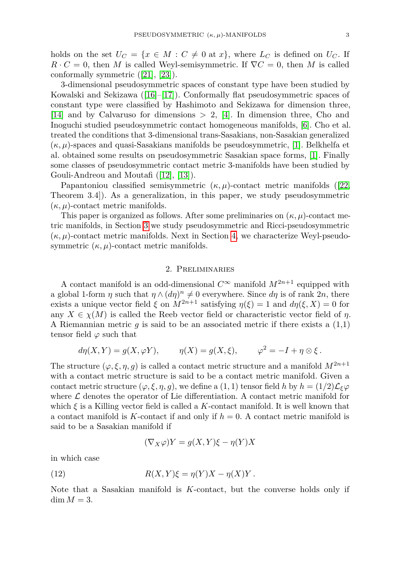holds on the set  $U_C = \{x \in M : C \neq 0 \text{ at } x\}$ , where  $L_C$  is defined on  $U_C$ . If  $R \cdot C = 0$ , then *M* is called Weyl-semisymmetric. If  $\nabla C = 0$ , then *M* is called conformally symmetric ([\[21\]](#page-12-2), [\[23\]](#page-12-3)).

3-dimensional pseudosymmetric spaces of constant type have been studied by Kowalski and Sekizawa ([\[16\]](#page-11-4)–[\[17\]](#page-11-5)). Conformally flat pseudosymmetric spaces of constant type were classified by Hashimoto and Sekizawa for dimension three, [\[14\]](#page-11-6) and by Calvaruso for dimensions *>* 2, [\[4\]](#page-11-7). In dimension three, Cho and Inoguchi studied pseudosymmetric contact homogeneous manifolds, [\[6\]](#page-11-8). Cho et al. treated the conditions that 3-dimensional trans-Sasakians, non-Sasakian generalized (*κ, µ*)-spaces and quasi-Sasakians manifolds be pseudosymmetric, [\[1\]](#page-11-3). Belkhelfa et al. obtained some results on pseudosymmetric Sasakian space forms, [\[1\]](#page-11-3). Finally some classes of pseudosymmetric contact metric 3-manifolds have been studied by Gouli-Andreou and Moutafi ([\[12\]](#page-11-9), [\[13\]](#page-11-10)).

Papantoniou classified semisymmetric  $(\kappa, \mu)$ -contact metric manifolds ([\[22,](#page-12-4) Theorem 3.4]). As a generalization, in this paper, we study pseudosymmetric (*κ, µ*)-contact metric manifolds.

This paper is organized as follows. After some preliminaries on  $(\kappa, \mu)$ -contact metric manifolds, in Section [3](#page-5-0) we study pseudosymmetric and Ricci-pseudosymmetric (*κ, µ*)-contact metric manifolds. Next in Section [4,](#page-9-0) we characterize Weyl-pseudosymmetric  $(\kappa, \mu)$ -contact metric manifolds.

#### 2. Preliminaries

A contact manifold is an odd-dimensional  $C^{\infty}$  manifold  $M^{2n+1}$  equipped with a global 1-form  $\eta$  such that  $\eta \wedge (d\eta)^n \neq 0$  everywhere. Since  $d\eta$  is of rank 2*n*, there exists a unique vector field  $\xi$  on  $M^{2n+1}$  satisfying  $\eta(\xi) = 1$  and  $d\eta(\xi, X) = 0$  for any  $X \in \chi(M)$  is called the Reeb vector field or characteristic vector field of *η*. A Riemannian metric *g* is said to be an associated metric if there exists a (1,1) tensor field  $\varphi$  such that

$$
d\eta(X,Y) = g(X,\varphi Y), \qquad \eta(X) = g(X,\xi), \qquad \varphi^2 = -I + \eta \otimes \xi.
$$

The structure  $(\varphi, \xi, \eta, g)$  is called a contact metric structure and a manifold  $M^{2n+1}$ with a contact metric structure is said to be a contact metric manifold. Given a contact metric structure ( $\varphi, \xi, \eta, q$ ), we define a (1, 1) tensor field *h* by  $h = (1/2)\mathcal{L}_{\xi}\varphi$ where  $\mathcal L$  denotes the operator of Lie differentiation. A contact metric manifold for which  $\xi$  is a Killing vector field is called a  $K$ -contact manifold. It is well known that a contact manifold is *K*-contact if and only if  $h = 0$ . A contact metric manifold is said to be a Sasakian manifold if

<span id="page-3-0"></span>
$$
(\nabla_X \varphi)Y = g(X, Y)\xi - \eta(Y)X
$$

in which case

(12) 
$$
R(X,Y)\xi = \eta(Y)X - \eta(X)Y.
$$

Note that a Sasakian manifold is *K*-contact, but the converse holds only if dim  $M = 3$ .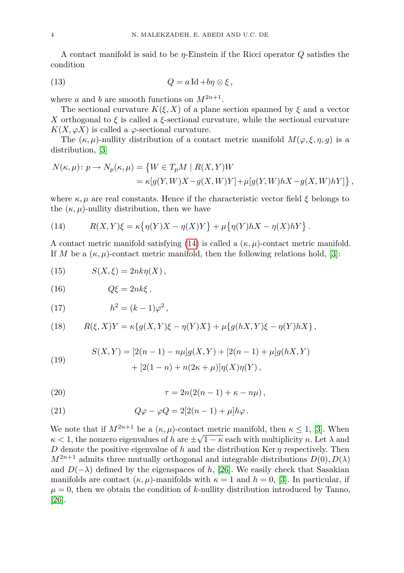A contact manifold is said to be *η*-Einstein if the Ricci operator *Q* satisfies the condition

(13) 
$$
Q = a \operatorname{Id} + b\eta \otimes \xi,
$$

where *a* and *b* are smooth functions on  $M^{2n+1}$ .

The sectional curvature  $K(\xi, X)$  of a plane section spanned by  $\xi$  and a vector *X* orthogonal to *ξ* is called a *ξ*-sectional curvature, while the sectional curvature  $K(X, \varphi X)$  is called a  $\varphi$ -sectional curvature.

The  $(\kappa, \mu)$ -nullity distribution of a contact metric manifold  $M(\varphi, \xi, \eta, g)$  is a distribution, [\[3\]](#page-11-11)

$$
N(\kappa, \mu): p \to N_p(\kappa, \mu) = \left\{ W \in T_p M \mid R(X, Y)W
$$
  
=  $\kappa[g(Y, W)X - g(X, W)Y] + \mu[g(Y, W)hX - g(X, W)hY] \right\},$ 

where  $\kappa, \mu$  are real constants. Hence if the characteristic vector field  $\xi$  belongs to the  $(\kappa, \mu)$ -nullity distribution, then we have

<span id="page-4-0"></span>(14) 
$$
R(X,Y)\xi = \kappa \left\{ \eta(Y)X - \eta(X)Y \right\} + \mu \left\{ \eta(Y)hX - \eta(X)hY \right\}.
$$

A contact metric manifold satisfying [\(14\)](#page-4-0) is called a (*κ, µ*)-contact metric manifold. If *M* be a  $(\kappa, \mu)$ -contact metric manifold, then the following relations hold, [\[3\]](#page-11-11):

<span id="page-4-3"></span>
$$
(15) \t S(X,\xi) = 2nk\eta(X),
$$

$$
(16) \tQ\xi = 2nk\xi,
$$

<span id="page-4-5"></span>
$$
(17) \qquad \qquad h^2 = (k-1)\varphi^2 \,,
$$

<span id="page-4-1"></span>(18) 
$$
R(\xi, X)Y = \kappa \{ g(X, Y)\xi - \eta(Y)X \} + \mu \{ g(hX, Y)\xi - \eta(Y)hX \},
$$

<span id="page-4-4"></span>(19) 
$$
S(X,Y) = [2(n-1) - n\mu]g(X,Y) + [2(n-1) + \mu]g(hX,Y) + [2(1-n) + n(2\kappa + \mu)]\eta(X)\eta(Y),
$$

<span id="page-4-6"></span>
$$
\tau = 2n(2(n-1) + \kappa - n\mu),
$$

<span id="page-4-2"></span>(21) 
$$
Q\varphi - \varphi Q = 2[2(n-1) + \mu]h\varphi.
$$

We note that if  $M^{2n+1}$  be a  $(\kappa, \mu)$ -contact metric manifold, then  $\kappa \leq 1$ , [\[3\]](#page-11-11). When  $\kappa$  < 1, the nonzero eigenvalues of *h* are  $\pm\sqrt{1-\kappa}$  each with multiplicity *n*. Let  $\lambda$  and *D* denote the positive eigenvalue of *h* and the distribution Ker  $\eta$  respectively. Then  $M^{2n+1}$  admits three mutually orthogonal and integrable distributions  $D(0), D(\lambda)$ and  $D(-\lambda)$  defined by the eigenspaces of *h*, [\[26\]](#page-12-5). We easily check that Sasakian manifolds are contact  $(\kappa, \mu)$ -manifolds with  $\kappa = 1$  and  $h = 0$ , [\[3\]](#page-11-11). In particular, if  $\mu = 0$ , then we obtain the condition of *k*-nullity distribution introduced by Tanno, [\[26\]](#page-12-5).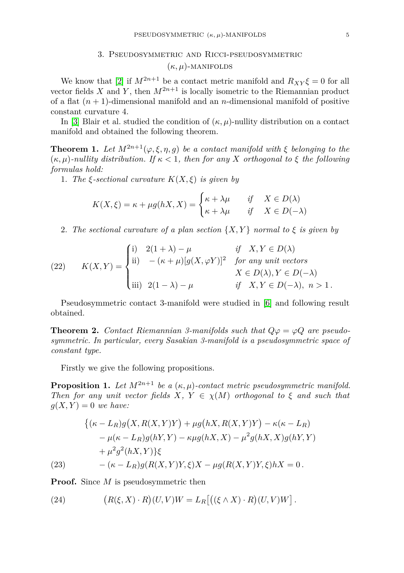### 3. Pseudosymmetric and Ricci-pseudosymmetric  $(\kappa, \mu)$ -MANIFOLDS

<span id="page-5-0"></span>We know that [\[2\]](#page-11-12) if  $M^{2n+1}$  be a contact metric manifold and  $R_{XY}\xi = 0$  for all vector fields *X* and *Y*, then  $M^{2n+1}$  is locally isometric to the Riemannian product of a flat  $(n + 1)$ -dimensional manifold and an *n*-dimensional manifold of positive constant curvature 4.

In [\[3\]](#page-11-11) Blair et al. studied the condition of  $(\kappa, \mu)$ -nullity distribution on a contact manifold and obtained the following theorem.

**Theorem 1.** Let  $M^{2n+1}(\varphi,\xi,\eta,g)$  be a contact manifold with  $\xi$  belonging to the  $(\kappa, \mu)$ -nullity distribution. If  $\kappa < 1$ , then for any X orthogonal to  $\xi$  the following *formulas hold:*

1. *The ξ-sectional curvature K*(*X, ξ*) *is given by*

$$
K(X,\xi) = \kappa + \mu g(hX,X) = \begin{cases} \kappa + \lambda \mu & \text{if } X \in D(\lambda) \\ \kappa + \lambda \mu & \text{if } X \in D(-\lambda) \end{cases}
$$

2. *The sectional curvature of a plan section*  $\{X, Y\}$  *normal to*  $\xi$  *is given by* 

<span id="page-5-3"></span>(22) 
$$
K(X,Y) = \begin{cases} \text{i)} & 2(1+\lambda) - \mu & \text{if } X, Y \in D(\lambda) \\ \text{ii)} & -(\kappa + \mu)[g(X,\varphi Y)]^2 & \text{for any unit vectors} \\ \text{iii)} & 2(1-\lambda) - \mu & \text{if } X, Y \in D(-\lambda), \ n > 1. \end{cases}
$$

Pseudosymmetric contact 3-manifold were studied in [\[6\]](#page-11-8) and following result obtained.

<span id="page-5-4"></span>**Theorem 2.** *Contact Riemannian 3-manifolds such that*  $Q\varphi = \varphi Q$  *are pseudosymmetric. In particular, every Sasakian 3-manifold is a pseudosymmetric space of constant type.*

Firstly we give the following propositions.

**Proposition 1.** *Let*  $M^{2n+1}$  *be a*  $(\kappa, \mu)$ *-contact metric pseudosymmetric manifold. Then for any unit vector fields*  $X, Y \in \chi(M)$  *orthogonal to*  $\xi$  *and such that*  $g(X, Y) = 0$  *we have:* 

$$
\begin{aligned}\n\{ (\kappa - L_R)g(X, R(X, Y)Y) + \mu g(hX, R(X, Y)Y) - \kappa(\kappa - L_R) \\
&- \mu(\kappa - L_R)g(hY, Y) - \kappa \mu g(hX, X) - \mu^2 g(hX, X)g(hY, Y) \\
&+ \mu^2 g^2(hX, Y)\}\xi\n\end{aligned}
$$
\n(23) 
$$
- (\kappa - L_R)g(R(X, Y)Y, \xi)X - \mu g(R(X, Y)Y, \xi)hX = 0.
$$

<span id="page-5-2"></span>**Proof.** Since *M* is pseudosymmetric then

<span id="page-5-1"></span>(24)  $R(\xi, X) \cdot R$   $(U, V)W = L_R [( (\xi \wedge X) \cdot R) (U, V)W ]$ .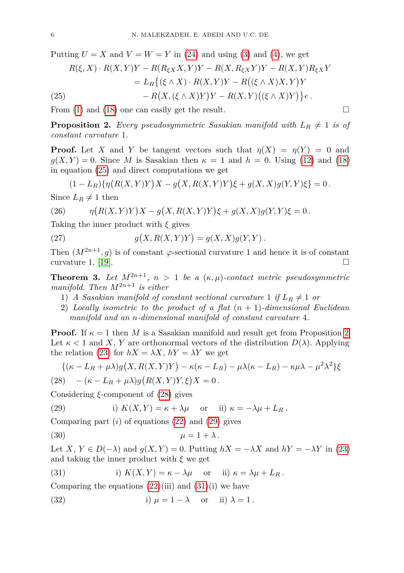Putting  $U = X$  and  $V = W = Y$  in [\(24\)](#page-5-1) and using [\(3\)](#page-1-0) and [\(4\)](#page-2-0), we get

(25) 
$$
R(\xi, X) \cdot R(X, Y)Y - R(R_{\xi X}X, Y)Y - R(X, R_{\xi X}Y)Y - R(X, Y)R_{\xi X}Y = L_R\{(\xi \wedge X) \cdot R(X, Y)Y - R((\xi \wedge X)X, Y)Y - R(X, Y)((\xi \wedge X)Y)Y - R(X, Y)((\xi \wedge X)Y)\}e.
$$

<span id="page-6-0"></span>From [\(1\)](#page-1-1) and [\(18\)](#page-4-1) one can easily get the result.

<span id="page-6-1"></span>**Proposition 2.** *Every pseudosymmetric Sasakian manifold with*  $L_R \neq 1$  *is of constant curvature* 1*.*

**Proof.** Let *X* and *Y* be tangent vectors such that  $\eta(X) = \eta(Y) = 0$  and  $g(X, Y) = 0$ . Since *M* is Sasakian then  $\kappa = 1$  and  $h = 0$ . Using [\(12\)](#page-3-0) and [\(18\)](#page-4-1) in equation [\(25\)](#page-6-0) and direct computations we get

$$
(1 - L_R)\{\eta(R(X, Y)Y)X - g(X, R(X, Y)Y)\xi + g(X, X)g(Y, Y)\xi\} = 0.
$$

Since  $L_R \neq 1$  then

(26) 
$$
\eta(R(X,Y)Y)X - g(X,R(X,Y)Y)\xi + g(X,X)g(Y,Y)\xi = 0.
$$

Taking the inner product with *ξ* gives

(27) 
$$
g(X, R(X, Y)Y) = g(X, X)g(Y, Y).
$$

Then  $(M^{2n+1}, g)$  is of constant  $\varphi$ -sectional curvature 1 and hence it is of constant curvature 1, [\[19\]](#page-12-6).  $\Box$ 

**Theorem 3.** Let  $M^{2n+1}$ ,  $n > 1$  be a  $(\kappa, \mu)$ -contact metric pseudosymmetric *manifold. Then*  $M^{2n+1}$  *is either* 

- 1) *A Sasakian manifold of constant sectional curvature* 1 *if*  $L_R \neq 1$  *or*
- 2) *Locally isometric to the product of a flat* (*n* + 1)*-dimensional Euclidean manifold and an n-dimensional manifold of constant curvature* 4*.*

**Proof.** If  $\kappa = 1$  then *M* is a Sasakian manifold and result get from Proposition [2.](#page-6-1) Let  $\kappa < 1$  and X, Y are orthonormal vectors of the distribution  $D(\lambda)$ . Applying the relation [\(23\)](#page-5-2) for  $hX = \lambda X$ ,  $hY = \lambda Y$  we get

$$
\{(\kappa - L_R + \mu \lambda)g(X, R(X, Y)Y) - \kappa(\kappa - L_R) - \mu \lambda(\kappa - L_R) - \kappa \mu \lambda - \mu^2 \lambda^2\}\xi
$$

<span id="page-6-2"></span>
$$
(28) \quad -(\kappa - L_R + \mu \lambda)g(R(X,Y)Y,\xi)X = 0.
$$

Considering *ξ*-component of [\(28\)](#page-6-2) gives

<span id="page-6-3"></span>(29) i) 
$$
K(X,Y) = \kappa + \lambda \mu
$$
 or ii)  $\kappa = -\lambda \mu + L_R$ .

Comparing part  $(i)$  of equations  $(22)$  and  $(29)$  gives

<span id="page-6-5"></span>
$$
\mu = 1 + \lambda.
$$

Let *X*,  $Y \in D(-\lambda)$  and  $g(X, Y) = 0$ . Putting  $hX = -\lambda X$  and  $hY = -\lambda Y$  in [\(23\)](#page-5-2) and taking the inner product with  $\xi$  we get

<span id="page-6-4"></span>(31) i) 
$$
K(X,Y) = \kappa - \lambda \mu
$$
 or ii)  $\kappa = \lambda \mu + L_R$ .

Comparing the equations  $(22)(iii)$  $(22)(iii)$  and  $(31)(i)$  $(31)(i)$  we have

<span id="page-6-6"></span>(32) i)  $\mu = 1 - \lambda$  or ii)  $\lambda = 1$ .

$$
\Box
$$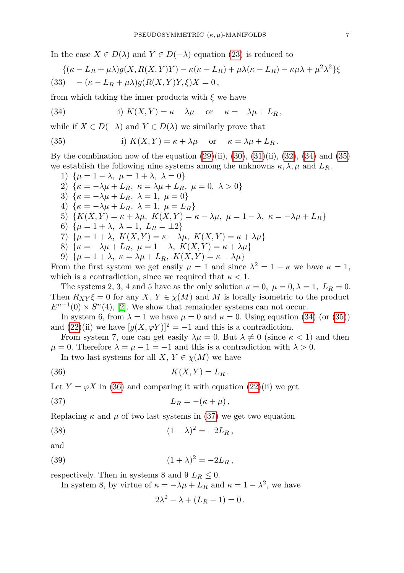In the case  $X \in D(\lambda)$  and  $Y \in D(-\lambda)$  equation [\(23\)](#page-5-2) is reduced to

$$
\{(\kappa - L_R + \mu \lambda)g(X, R(X, Y)Y) - \kappa(\kappa - L_R) + \mu \lambda(\kappa - L_R) - \kappa \mu \lambda + \mu^2 \lambda^2\}\xi
$$
  
(33) 
$$
-(\kappa - L_R + \mu \lambda)g(R(X, Y)Y, \xi)X = 0,
$$

from which taking the inner products with *ξ* we have

<span id="page-7-0"></span>(34) i) 
$$
K(X,Y) = \kappa - \lambda \mu
$$
 or  $\kappa = -\lambda \mu + L_R$ ,

while if *X* ∈ *D*(−*λ*) and *Y* ∈ *D*(*λ*) we similarly prove that

<span id="page-7-1"></span>(35) i) 
$$
K(X,Y) = \kappa + \lambda \mu
$$
 or  $\kappa = \lambda \mu + L_R$ .

By the combination now of the equation  $(29)(ii)$  $(29)(ii)$ ,  $(30)$ ,  $(31)(ii)$  $(31)(ii)$ ,  $(32)$ ,  $(34)$  and  $(35)$ we establish the following nine systems among the unknowns  $\kappa, \lambda, \mu$  and  $L_R$ .

1) 
$$
\{\mu = 1 - \lambda, \ \mu = 1 + \lambda, \ \lambda = 0\}
$$
  
\n2) 
$$
\{\kappa = -\lambda\mu + L_R, \ \kappa = \lambda\mu + L_R, \ \mu = 0, \ \lambda > 0\}
$$
  
\n3) 
$$
\{\kappa = -\lambda\mu + L_R, \ \lambda = 1, \ \mu = 0\}
$$
  
\n4) 
$$
\{\kappa = -\lambda\mu + L_R, \ \lambda = 1, \ \mu = L_R\}
$$
  
\n5) 
$$
\{K(X, Y) = \kappa + \lambda\mu, \ K(X, Y) = \kappa - \lambda\mu, \ \mu = 1 - \lambda, \ \kappa = -\lambda\mu + L_R\}
$$
  
\n6) 
$$
\{\mu = 1 + \lambda, \ \lambda = 1, \ L_R = \pm 2\}
$$
  
\n7) 
$$
\{\mu = 1 + \lambda, \ K(X, Y) = \kappa - \lambda\mu, \ K(X, Y) = \kappa + \lambda\mu\}
$$
  
\n8) 
$$
\{\kappa = -\lambda\mu + L_R, \ \mu = 1 - \lambda, \ K(X, Y) = \kappa + \lambda\mu\}
$$
  
\n9) 
$$
\{\mu = 1 + \lambda, \ \kappa = \lambda\mu + L_R, \ K(X, Y) = \kappa - \lambda\mu\}
$$
  
\n9) 
$$
\{\mu = 1 + \lambda, \ \kappa = \lambda\mu + L_R, \ K(X, Y) = \kappa - \lambda\mu\}
$$
  
\n10) 
$$
\{\mu = 1 + \lambda, \ \kappa = \lambda\mu + L_R, \ K(X, Y) = \kappa - \lambda\mu\}
$$

From the first system we get easily  $\mu = 1$  and since  $\lambda$  $\kappa^2 = 1 - \kappa$  we have  $\kappa = 1$ , which is a contradiction, since we required that  $\kappa < 1$ .

The systems 2, 3, 4 and 5 have as the only solution  $\kappa = 0$ ,  $\mu = 0, \lambda = 1$ ,  $L_R = 0$ . Then  $R_{XY}\xi = 0$  for any  $X, Y \in \chi(M)$  and M is locally isometric to the product  $E^{n+1}(0) \times S^n(4)$ , [\[2\]](#page-11-12). We show that remainder systems can not occur.

In system 6, from  $\lambda = 1$  we have  $\mu = 0$  and  $\kappa = 0$ . Using equation [\(34\)](#page-7-0) (or [\(35\)](#page-7-1)) and  $(22)(ii)$  $(22)(ii)$  we have  $[g(X, \varphi Y)]^2 = -1$  and this is a contradiction.

From system 7, one can get easily  $\lambda \mu = 0$ . But  $\lambda \neq 0$  (since  $\kappa < 1$ ) and then  $\mu = 0$ . Therefore  $\lambda = \mu - 1 = -1$  and this is a contradiction with  $\lambda > 0$ .

<span id="page-7-2"></span>In two last systems for all *X*,  $Y \in \chi(M)$  we have

$$
(36) \t K(X,Y) = L_R.
$$

Let  $Y = \varphi X$  in [\(36\)](#page-7-2) and comparing it with equation [\(22\)](#page-5-3)(ii) we get

$$
(37) \t\t\t L_R = -(\kappa + \mu),
$$

Replacing  $\kappa$  and  $\mu$  of two last systems in [\(37\)](#page-7-3) we get two equation

(38) 
$$
(1 - \lambda)^2 = -2L_R,
$$

$$
\quad\text{and}\quad
$$

(39) 
$$
(1 + \lambda)^2 = -2L_R,
$$

respectively. Then in systems 8 and 9  $L_R \leq 0$ .

In system 8, by virtue of  $\kappa = -\lambda \mu + L_R$  and  $\kappa = 1 - \lambda^2$ , we have

<span id="page-7-5"></span><span id="page-7-4"></span><span id="page-7-3"></span>
$$
2\lambda^2 - \lambda + (L_R - 1) = 0.
$$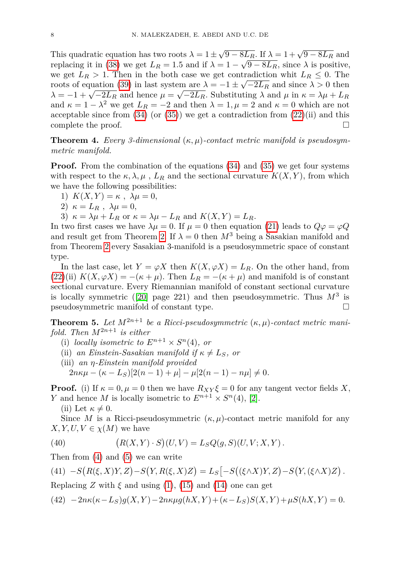This quadratic equation has two roots  $\lambda = 1 \pm \sqrt{9 - 8L_R}$ . If  $\lambda = 1 + \sqrt{9 - 8L_R}$  and replacing it in [\(38\)](#page-7-4) we get  $L_R = 1.5$  and if  $\lambda = 1 - \sqrt{9 - 8L_R}$ , since  $\lambda$  is positive, we get  $L_R > 1$ . Then in the both case we get contradiction whit  $L_R \leq 0$ . The roots of equation [\(39\)](#page-7-5) in last system are  $\lambda = -1 \pm \sqrt{-2L_R}$  and since  $\lambda > 0$  then *λ* = −1 +  $\sqrt{-2L_R}$  and hence  $\mu = \sqrt{-2L_R}$ . Substituting *λ* and  $\mu$  in  $\kappa = \lambda \mu + L_R$ and  $\kappa = 1 - \lambda^2$  we get  $L_R = -2$  and then  $\lambda = 1, \mu = 2$  and  $\kappa = 0$  which are not acceptable since from  $(34)$  (or  $(35)$ ) we get a contradiction from  $(22)(ii)$  $(22)(ii)$  and this complete the proof.

**Theorem 4.** *Every 3-dimensional*  $(\kappa, \mu)$ -contact metric manifold is pseudosym*metric manifold.*

**Proof.** From the combination of the equations [\(34\)](#page-7-0) and [\(35\)](#page-7-1) we get four systems with respect to the  $\kappa, \lambda, \mu$ ,  $L_R$  and the sectional curvature  $K(X, Y)$ , from which we have the following possibilities:

- 1)  $K(X, Y) = \kappa$ ,  $\lambda \mu = 0$ ,
- 2)  $\kappa = L_R$ ,  $\lambda \mu = 0$ ,
- 3)  $\kappa = \lambda \mu + L_R$  or  $\kappa = \lambda \mu L_R$  and  $K(X, Y) = L_R$ .

In two first cases we have  $\lambda \mu = 0$ . If  $\mu = 0$  then equation [\(21\)](#page-4-2) leads to  $Q\varphi = \varphi Q$ and result get from Theorem [2.](#page-5-4) If  $\lambda = 0$  then  $M^3$  being a Sasakian manifold and from Theorem [2](#page-5-4) every Sasakian 3-manifold is a pseudosymmetric space of constant type.

In the last case, let  $Y = \varphi X$  then  $K(X, \varphi X) = L_R$ . On the other hand, from [\(22\)](#page-5-3)(ii)  $K(X, \varphi X) = -(\kappa + \mu)$ . Then  $L_R = -(\kappa + \mu)$  and manifold is of constant sectional curvature. Every Riemannian manifold of constant sectional curvature is locally symmetric  $(20)$  page 221) and then pseudosymmetric. Thus  $M^3$  is pseudosymmetric manifold of constant type.

**Theorem 5.** Let  $M^{2n+1}$  be a Ricci-pseudosymmetric  $(\kappa, \mu)$ -contact metric mani*fold. Then*  $M^{2n+1}$  *is either* 

- (i) *locally isometric to*  $E^{n+1} \times S^n(4)$ *, or*
- (ii) an Einstein-Sasakian manifold if  $\kappa \neq L_S$ , or
- (iii) *an η-Einstein manifold provided*  $2n\kappa\mu - (\kappa - L_S)[2(n-1) + \mu] - \mu[2(n-1) - n\mu] \neq 0.$

**Proof.** (i) If  $\kappa = 0, \mu = 0$  then we have  $R_{XY}\xi = 0$  for any tangent vector fields X, *Y* and hence *M* is locally isometric to  $E^{n+1} \times S^n(4)$ , [\[2\]](#page-11-12).

(ii) Let  $\kappa \neq 0$ .

Since *M* is a Ricci-pseudosymmetric  $(\kappa, \mu)$ -contact metric manifold for any  $X, Y, U, V \in \chi(M)$  we have

(40) 
$$
(R(X,Y) \cdot S)(U,V) = L_S Q(g, S)(U, V; X, Y).
$$

Then from [\(4\)](#page-2-0) and [\(5\)](#page-2-1) we can write

$$
(41) \ -S(R(\xi, X)Y, Z) - S(Y, R(\xi, X)Z) = L_S[-S((\xi \wedge X)Y, Z) - S(Y, (\xi \wedge X)Z).
$$

Replacing *Z* with  $\xi$  and using [\(1\)](#page-1-1), [\(15\)](#page-4-3) and [\(14\)](#page-4-0) one can get

<span id="page-8-0"></span>
$$
(42) -2n\kappa(\kappa - L_S)g(X, Y) - 2n\kappa\mu g(hX, Y) + (\kappa - L_S)S(X, Y) + \mu S(hX, Y) = 0.
$$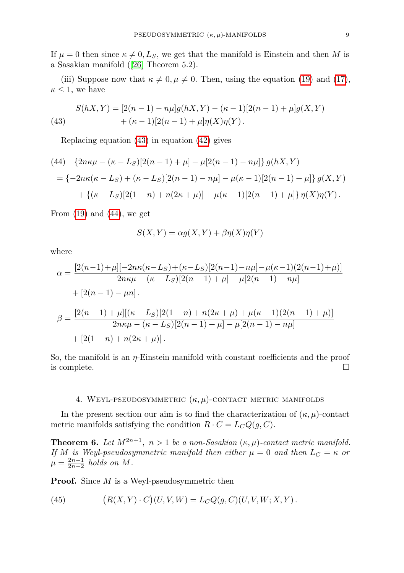If  $\mu = 0$  then since  $\kappa \neq 0, L_S$ , we get that the manifold is Einstein and then *M* is a Sasakian manifold ([\[26\]](#page-12-5) Theorem 5.2).

(iii) Suppose now that  $\kappa \neq 0, \mu \neq 0$ . Then, using the equation [\(19\)](#page-4-4) and [\(17\)](#page-4-5),  $\kappa \leq 1$ , we have

<span id="page-9-1"></span>(43) 
$$
S(hX,Y) = [2(n-1) - n\mu]g(hX,Y) - (\kappa - 1)[2(n-1) + \mu]g(X,Y)
$$

$$
+ (\kappa - 1)[2(n-1) + \mu]\eta(X)\eta(Y).
$$

Replacing equation [\(43\)](#page-9-1) in equation [\(42\)](#page-8-0) gives

<span id="page-9-2"></span>(44) 
$$
\{2n\kappa\mu - (\kappa - L_S)[2(n-1) + \mu] - \mu[2(n-1) - n\mu]\} g(hX, Y)
$$

$$
= \{-2n\kappa(\kappa - L_S) + (\kappa - L_S)[2(n-1) - n\mu] - \mu(\kappa - 1)[2(n-1) + \mu]\} g(X, Y)
$$

$$
+ \{(\kappa - L_S)[2(1 - n) + n(2\kappa + \mu)] + \mu(\kappa - 1)[2(n-1) + \mu]\} \eta(X)\eta(Y).
$$

From  $(19)$  and  $(44)$ , we get

$$
S(X, Y) = \alpha g(X, Y) + \beta \eta(X)\eta(Y)
$$

where

$$
\alpha = \frac{[2(n-1)+\mu][-2n\kappa(\kappa - L_S) + (\kappa - L_S)[2(n-1) - n\mu] - \mu(\kappa - 1)(2(n-1) + \mu)]}{2n\kappa\mu - (\kappa - L_S)[2(n-1) + \mu] - \mu[2(n-1) - n\mu]}
$$
  
+ 
$$
[2(n-1) - \mu n].
$$
  

$$
\beta = \frac{[2(n-1)+\mu][( \kappa - L_S)[2(1-n) + n(2\kappa + \mu) + \mu(\kappa - 1)(2(n-1) + \mu)]}{2n\kappa\mu - (\kappa - L_S)[2(n-1) + \mu] - \mu[2(n-1) - n\mu]}
$$
  
+ 
$$
[2(1-n) + n(2\kappa + \mu)].
$$

So, the manifold is an *η*-Einstein manifold with constant coefficients and the proof is complete.

#### 4. Weyl-pseudosymmetric (*κ, µ*)-contact metric manifolds

<span id="page-9-0"></span>In the present section our aim is to find the characterization of  $(\kappa, \mu)$ -contact metric manifolds satisfying the condition  $R \cdot C = L_C Q(g, C)$ .

**Theorem 6.** Let  $M^{2n+1}$ ,  $n > 1$  be a non-Sasakian  $(\kappa, \mu)$ -contact metric manifold. *If M is Weyl-pseudosymmetric manifold then either*  $\mu = 0$  *and then*  $L_C = \kappa$  *or*  $\mu = \frac{2n-1}{2n-2}$  *holds on M*.

**Proof.** Since *M* is a Weyl-pseudosymmetric then

<span id="page-9-3"></span>(45) 
$$
(R(X,Y) \cdot C)(U,V,W) = L_C Q(g, C)(U, V, W; X, Y).
$$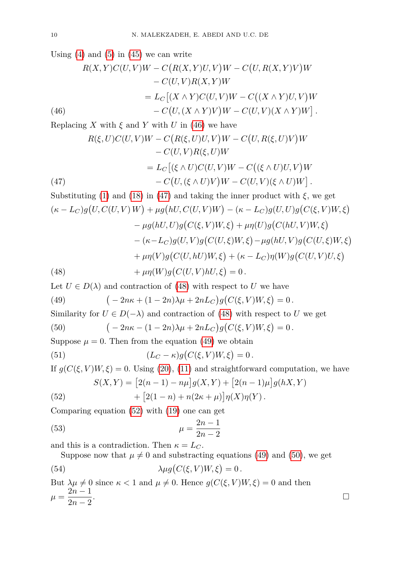Using  $(4)$  and  $(5)$  in  $(45)$  we can write

$$
R(X,Y)C(U,V)W - C\big(R(X,Y)U,V\big)W - C\big(U,R(X,Y)V\big)W
$$

$$
- C(U,V)R(X,Y)W
$$

$$
= L_C\big[(X \wedge Y)C(U,V)W - C\big((X \wedge Y)U,V\big)W
$$

$$
- C\big(U,(X \wedge Y)V\big)W - C(U,V)(X \wedge Y)W\big].
$$
(46)

<span id="page-10-0"></span>Replacing *X* with  $\xi$  and *Y* with *U* in [\(46\)](#page-10-0) we have

(47)  
\n
$$
R(\xi, U)C(U, V)W - C\big(R(\xi, U)U, V\big)W - C\big(U, R(\xi, U)V\big)W - C\big(U, V\big)R(\xi, U)W
$$
\n
$$
= L_C\big[(\xi \wedge U)C(U, V)W - C\big((\xi \wedge U)U, V\big)W - C\big(U, V\big)(\xi \wedge U)W\big].
$$

<span id="page-10-1"></span>Substituting (1) and (18) in (47) and taking the inner product with 
$$
\xi
$$
, we get  
\n
$$
(\kappa - L_C)g(U, C(U, V)W) + \mu g(hU, C(U, V)W) - (\kappa - L_C)g(U, U)g(C(\xi, V)W, \xi)
$$
\n
$$
- \mu g(hU, U)g(C(\xi, V)W, \xi) + \mu \eta(U)g(C(hU, V)W, \xi)
$$
\n
$$
- (\kappa - L_C)g(U, V)g(C(U, \xi)W, \xi) - \mu g(hU, V)g(C(U, \xi)W, \xi)
$$
\n
$$
+ \mu \eta(V)g(C(U, hU)W, \xi) + (\kappa - L_C) \eta(W)g(C(U, V)U, \xi)
$$
\n(48)

<span id="page-10-2"></span>Let  $U \in D(\lambda)$  and contraction of [\(48\)](#page-10-2) with respect to *U* we have

<span id="page-10-3"></span>(49) 
$$
(-2n\kappa + (1 - 2n)\lambda\mu + 2nL_C)g(C(\xi, V)W, \xi) = 0.
$$

Similarity for  $U \in D(-\lambda)$  and contraction of [\(48\)](#page-10-2) with respect to *U* we get

<span id="page-10-5"></span>(50) 
$$
(-2n\kappa - (1 - 2n)\lambda\mu + 2nL_C)g(C(\xi, V)W, \xi) = 0.
$$

Suppose  $\mu = 0$ . Then from the equation [\(49\)](#page-10-3) we obtain

(51) 
$$
(L_C - \kappa)g(C(\xi, V)W, \xi) = 0.
$$

If  $g(C(\xi, V)W, \xi) = 0$ . Using [\(20\)](#page-4-6), [\(11\)](#page-2-2) and straightforward computation, we have

$$
S(X,Y) = [2(n-1) - n\mu]g(X,Y) + [2(n-1)\mu]g(hX,Y) + [2(1-n) + n(2\kappa + \mu)]\eta(X)\eta(Y).
$$

<span id="page-10-4"></span>(52) 
$$
+ [2(1-n) + n(2\kappa + \mu)]\eta(X)\eta(Y).
$$

Comparing equation [\(52\)](#page-10-4) with [\(19\)](#page-4-4) one can get

$$
\mu = \frac{2n-1}{2n-2}
$$

and this is a contradiction. Then  $\kappa = L_C$ .

Suppose now that  $\mu \neq 0$  and substracting equations [\(49\)](#page-10-3) and [\(50\)](#page-10-5), we get

(54) 
$$
\lambda \mu g(C(\xi, V)W, \xi) = 0.
$$

But  $\lambda \mu \neq 0$  since  $\kappa < 1$  and  $\mu \neq 0$ . Hence  $g(C(\xi, V)W, \xi) = 0$  and then  $\mu = \frac{2n-1}{2}$  $\frac{2n-1}{2n-2}$ .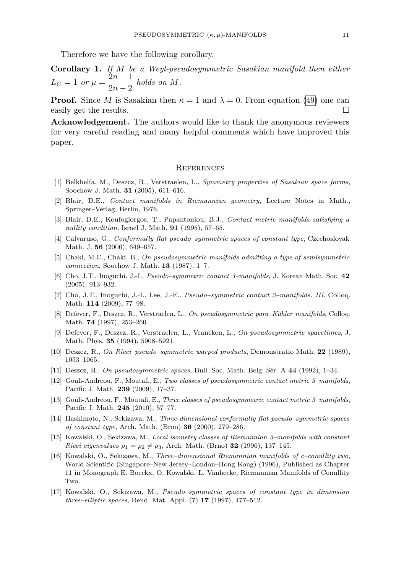Therefore we have the following corollary.

**Corollary 1.** If M be a Weyl-pseudosymmetric Sasakian manifold then either  

$$
L_C = 1 \text{ or } \mu = \frac{2n-1}{2n-2} \text{ holds on } M.
$$

**Proof.** Since *M* is Sasakian then  $\kappa = 1$  and  $\lambda = 0$ . From equation [\(49\)](#page-10-3) one can easily get the results.

**Acknowledgement.** The authors would like to thank the anonymous reviewers for very careful reading and many helpful comments which have improved this paper.

#### **REFERENCES**

- <span id="page-11-3"></span>[1] Belkhelfa, M., Deszcz, R., Verstraelen, L., *Symmetry properties of Sasakian space forms*, Soochow J. Math. **31** (2005), 611–616.
- <span id="page-11-12"></span>[2] Blair, D.E., *Contact manifolds in Riemannian geometry*, Lecture Notes in Math., Springer–Verlag, Berlin, 1976.
- <span id="page-11-11"></span>[3] Blair, D.E., Koufogiorgos, T., Papantoniou, B.J., *Contact metric manifolds satisfying a nullity condition*, Israel J. Math. **91** (1995), 57–65.
- <span id="page-11-7"></span>[4] Calvaruso, G., *Conformally flat pseudo–symmetric spaces of constant type*, Czechoslovak Math. J. **56** (2006), 649–657.
- <span id="page-11-0"></span>[5] Chaki, M.C., Chaki, B., *On pseudosymmetric manifolds admitting a type of semisymmetric connection*, Soochow J. Math. **13** (1987), 1–7.
- <span id="page-11-8"></span>[6] Cho, J.T., Inoguchi, J.-I., *Pseudo–symmetric contact 3–manifolds*, J. Korean Math. Soc. **42** (2005), 913–932.
- [7] Cho, J.T., Inoguchi, J.-I., Lee, J.-E., *Pseudo–symmetric contact 3–manifolds. III*, Colloq. Math. **114** (2009), 77–98.
- [8] Defever, F., Deszcz, R., Verstraelen, L., *On pseudosymmetric para–Kähler manifolds*, Colloq. Math. **74** (1997), 253–260.
- [9] Defever, F., Deszcz, R., Verstraelen, L., Vrancken, L., *On pseudosymmetric spacetimes*, J. Math. Phys. **35** (1994), 5908–5921.
- <span id="page-11-2"></span>[10] Deszcz, R., *On Ricci–pseudo–symmetric warped products*, Demonstratio Math. **22** (1989), 1053–1065.
- <span id="page-11-1"></span>[11] Deszcz, R., *On pseudosymmetric spaces*, Bull. Soc. Math. Belg. Sér. A **44** (1992), 1–34.
- <span id="page-11-9"></span>[12] Gouli-Andreou, F., Moutafi, E., *Two classes of pseudosymmetric contact metric 3–manifolds*, Pacific J. Math. **239** (2009), 17–37.
- <span id="page-11-10"></span>[13] Gouli-Andreou, F., Moutafi, E., *Three classes of pseudosymmetric contact metric 3–manifolds*, Pacific J. Math. **245** (2010), 57–77.
- <span id="page-11-6"></span>[14] Hashimoto, N., Sekizawa, M., *Three-dimensional conformally flat pseudo–symmetric spaces of constant type*, Arch. Math. (Brno) **36** (2000), 279–286.
- [15] Kowalski, O., Sekizawa, M., *Local isometry classes of Riemannian 3–manifolds with constant Ricci eigenvalues*  $\rho_1 = \rho_2 \neq \rho_3$ , Arch. Math. (Brno) **32** (1996), 137–145.
- <span id="page-11-4"></span>[16] Kowalski, O., Sekizawa, M., *Three–dimensional Riemannian manifolds of c–conullity two*, World Scientific (Singapore–New Jersey–London–Hong Kong) (1996), Published as Chapter 11 in Monograph E. Boeckx, O. Kowalski, L. Vanhecke, Riemannian Manifolds of Conullity Two.
- <span id="page-11-5"></span>[17] Kowalski, O., Sekizawa, M., *Pseudo–symmetric spaces of constant type in dimension three–elliptic spaces*, Rend. Mat. Appl. (7) **17** (1997), 477–512.